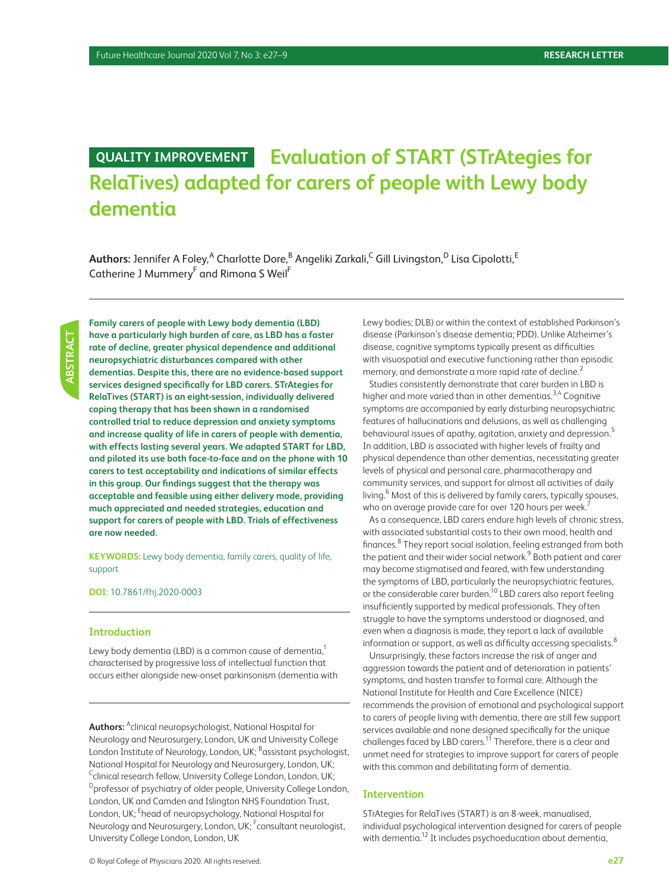# **QUALITY IMPROVEMENT Evaluation of START (STrAtegies for RelaTives) adapted for carers of people with Lewy body dementia**

 $\mathsf{Aut}$ hors: Jennifer A Foley, $^\mathsf{A}$  Charlotte Dore, $^\mathsf{B}$  Angeliki Zarkali, $^\mathsf{C}$  Gill Livingston, $^\mathsf{D}$  Lisa Cipolotti, $^\mathsf{E}$ Catherine J Mummery<sup>F</sup> and Rimona S Weil<sup>F</sup>

**Family carers of people with Lewy body dementia (LBD) have a particularly high burden of care, as LBD has a faster rate of decline, greater physical dependence and additional neuropsychiatric disturbances compared with other dementias. Despite this, there are no evidence-based support services designed specifically for LBD carers. STrAtegies for RelaTives (START) is an eight-session, individually delivered coping therapy that has been shown in a randomised controlled trial to reduce depression and anxiety symptoms and increase quality of life in carers of people with dementia, with effects lasting several years. We adapted START for LBD, and piloted its use both face-to-face and on the phone with 10 carers to test acceptability and indications of similar effects in this group. Our findings suggest that the therapy was acceptable and feasible using either delivery mode, providing much appreciated and needed strategies, education and support for carers of people with LBD. Trials of effectiveness are now needed.**

**KEYWORDS:** Lewy body dementia, family carers, quality of life, support

**DOI:** 10.7861/fhj.2020-0003

#### **Introduction**

Lewy body dementia (LBD) is a common cause of dementia, $1$ characterised by progressive loss of intellectual function that occurs either alongside new-onset parkinsonism (dementia with

**Authors:** <sup>A</sup> clinical neuropsychologist, National Hospital for Neurology and Neurosurgery, London, UK and University College London Institute of Neurology, London, UK; <sup>B</sup>assistant psychologist, National Hospital for Neurology and Neurosurgery, London, UK; <sup>C</sup>clinical research fellow, University College London, London, UK;  $D_{\text{professor}}$  of psychiatry of older people, University College London, London, UK and Camden and Islington NHS Foundation Trust, London, UK; <sup>E</sup>head of neuropsychology, National Hospital for Neurology and Neurosurgery, London, UK; <sup>F</sup>consultant neurologist, University College London, London, UK

Lewy bodies; DLB) or within the context of established Parkinson's disease (Parkinson's disease dementia; PDD). Unlike Alzheimer's disease, cognitive symptoms typically present as difficulties with visuospatial and executive functioning rather than episodic memory, and demonstrate a more rapid rate of decline.<sup>2</sup>

Studies consistently demonstrate that carer burden in LBD is higher and more varied than in other dementias.<sup>3,4</sup> Cognitive symptoms are accompanied by early disturbing neuropsychiatric features of hallucinations and delusions, as well as challenging behavioural issues of apathy, agitation, anxiety and depression.<sup>5</sup> In addition, LBD is associated with higher levels of frailty and physical dependence than other dementias, necessitating greater levels of physical and personal care, pharmacotherapy and community services, and support for almost all activities of daily living.<sup>6</sup> Most of this is delivered by family carers, typically spouses, who on average provide care for over 120 hours per week.<sup>7</sup>

As a consequence, LBD carers endure high levels of chronic stress, with associated substantial costs to their own mood, health and finances.<sup>8</sup> They report social isolation, feeling estranged from both the patient and their wider social network.<sup>9</sup> Both patient and carer may become stigmatised and feared, with few understanding the symptoms of LBD, particularly the neuropsychiatric features, or the considerable carer burden.<sup>10</sup> LBD carers also report feeling insufficiently supported by medical professionals. They often struggle to have the symptoms understood or diagnosed, and even when a diagnosis is made, they report a lack of available information or support, as well as difficulty accessing specialists.<sup>8</sup>

Unsurprisingly, these factors increase the risk of anger and aggression towards the patient and of deterioration in patients' symptoms, and hasten transfer to formal care. Although the National Institute for Health and Care Excellence (NICE) recommends the provision of emotional and psychological support to carers of people living with dementia, there are still few support services available and none designed specifically for the unique challenges faced by LBD carers.<sup>11</sup> Therefore, there is a clear and unmet need for strategies to improve support for carers of people with this common and debilitating form of dementia.

## **Intervention**

STrAtegies for RelaTives (START) is an 8-week, manualised, individual psychological intervention designed for carers of people with dementia.<sup>12</sup> It includes psychoeducation about dementia,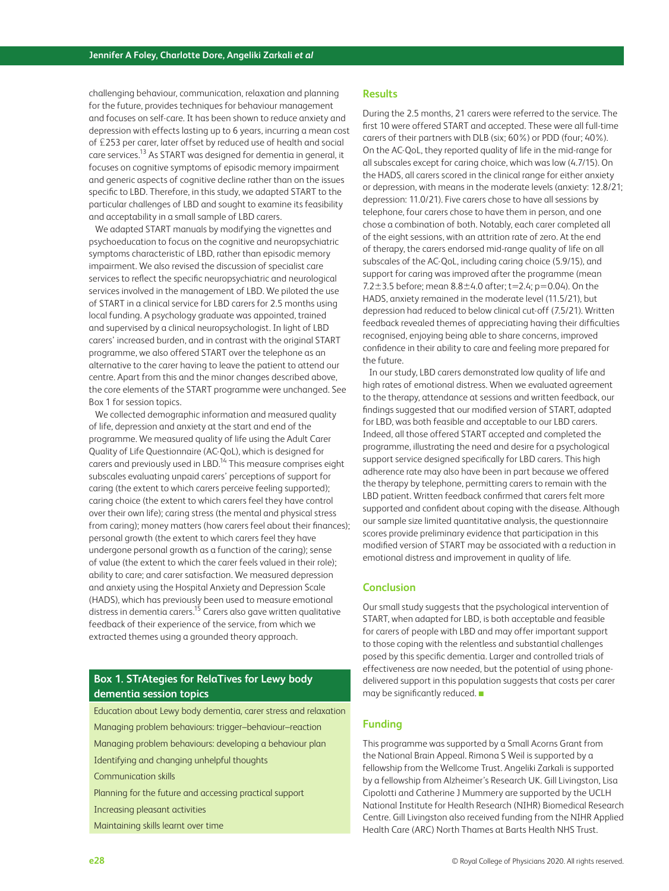challenging behaviour, communication, relaxation and planning for the future, provides techniques for behaviour management and focuses on self-care. It has been shown to reduce anxiety and depression with effects lasting up to 6 years, incurring a mean cost of £253 per carer, later offset by reduced use of health and social care services.13 As START was designed for dementia in general, it focuses on cognitive symptoms of episodic memory impairment and generic aspects of cognitive decline rather than on the issues specific to LBD. Therefore, in this study, we adapted START to the particular challenges of LBD and sought to examine its feasibility and acceptability in a small sample of LBD carers.

We adapted START manuals by modifying the vignettes and psychoeducation to focus on the cognitive and neuropsychiatric symptoms characteristic of LBD, rather than episodic memory impairment. We also revised the discussion of specialist care services to reflect the specific neuropsychiatric and neurological services involved in the management of LBD. We piloted the use of START in a clinical service for LBD carers for 2.5 months using local funding. A psychology graduate was appointed, trained and supervised by a clinical neuropsychologist. In light of LBD carers' increased burden, and in contrast with the original START programme, we also offered START over the telephone as an alternative to the carer having to leave the patient to attend our centre. Apart from this and the minor changes described above, the core elements of the START programme were unchanged. See Box 1 for session topics.

We collected demographic information and measured quality of life, depression and anxiety at the start and end of the programme. We measured quality of life using the Adult Carer Quality of Life Questionnaire (AC-QoL), which is designed for carers and previously used in LBD.<sup>14</sup> This measure comprises eight subscales evaluating unpaid carers' perceptions of support for caring (the extent to which carers perceive feeling supported); caring choice (the extent to which carers feel they have control over their own life); caring stress (the mental and physical stress from caring); money matters (how carers feel about their finances); personal growth (the extent to which carers feel they have undergone personal growth as a function of the caring); sense of value (the extent to which the carer feels valued in their role); ability to care; and carer satisfaction. We measured depression and anxiety using the Hospital Anxiety and Depression Scale (HADS), which has previously been used to measure emotional distress in dementia carers.15 Carers also gave written qualitative feedback of their experience of the service, from which we extracted themes using a grounded theory approach.

# **Box 1. STrAtegies for RelaTives for Lewy body dementia session topics**

Education about Lewy body dementia, carer stress and relaxation Managing problem behaviours: trigger–behaviour–reaction Managing problem behaviours: developing a behaviour plan Identifying and changing unhelpful thoughts Communication skills Planning for the future and accessing practical support Increasing pleasant activities Maintaining skills learnt over time

#### **Results**

During the 2.5 months, 21 carers were referred to the service. The first 10 were offered START and accepted. These were all full-time carers of their partners with DLB (six; 60%) or PDD (four; 40%). On the AC-QoL, they reported quality of life in the mid-range for all subscales except for caring choice, which was low (4.7/15). On the HADS, all carers scored in the clinical range for either anxiety or depression, with means in the moderate levels (anxiety: 12.8/21; depression: 11.0/21). Five carers chose to have all sessions by telephone, four carers chose to have them in person, and one chose a combination of both. Notably, each carer completed all of the eight sessions, with an attrition rate of zero. At the end of therapy, the carers endorsed mid-range quality of life on all subscales of the AC-QoL, including caring choice (5.9/15), and support for caring was improved after the programme (mean 7.2 $\pm$ 3.5 before; mean  $8.8\pm$ 4.0 after; t=2.4; p=0.04). On the HADS, anxiety remained in the moderate level (11.5/21), but depression had reduced to below clinical cut-off (7.5/21). Written feedback revealed themes of appreciating having their difficulties recognised, enjoying being able to share concerns, improved confidence in their ability to care and feeling more prepared for the future.

In our study, LBD carers demonstrated low quality of life and high rates of emotional distress. When we evaluated agreement to the therapy, attendance at sessions and written feedback, our findings suggested that our modified version of START, adapted for LBD, was both feasible and acceptable to our LBD carers. Indeed, all those offered START accepted and completed the programme, illustrating the need and desire for a psychological support service designed specifically for LBD carers. This high adherence rate may also have been in part because we offered the therapy by telephone, permitting carers to remain with the LBD patient. Written feedback confirmed that carers felt more supported and confident about coping with the disease. Although our sample size limited quantitative analysis, the questionnaire scores provide preliminary evidence that participation in this modified version of START may be associated with a reduction in emotional distress and improvement in quality of life.

#### **Conclusion**

Our small study suggests that the psychological intervention of START, when adapted for LBD, is both acceptable and feasible for carers of people with LBD and may offer important support to those coping with the relentless and substantial challenges posed by this specific dementia. Larger and controlled trials of effectiveness are now needed, but the potential of using phonedelivered support in this population suggests that costs per carer may be significantly reduced. ■

#### **Funding**

This programme was supported by a Small Acorns Grant from the National Brain Appeal. Rimona S Weil is supported by a fellowship from the Wellcome Trust. Angeliki Zarkali is supported by a fellowship from Alzheimer's Research UK. Gill Livingston, Lisa Cipolotti and Catherine J Mummery are supported by the UCLH National Institute for Health Research (NIHR) Biomedical Research Centre. Gill Livingston also received funding from the NIHR Applied Health Care (ARC) North Thames at Barts Health NHS Trust.